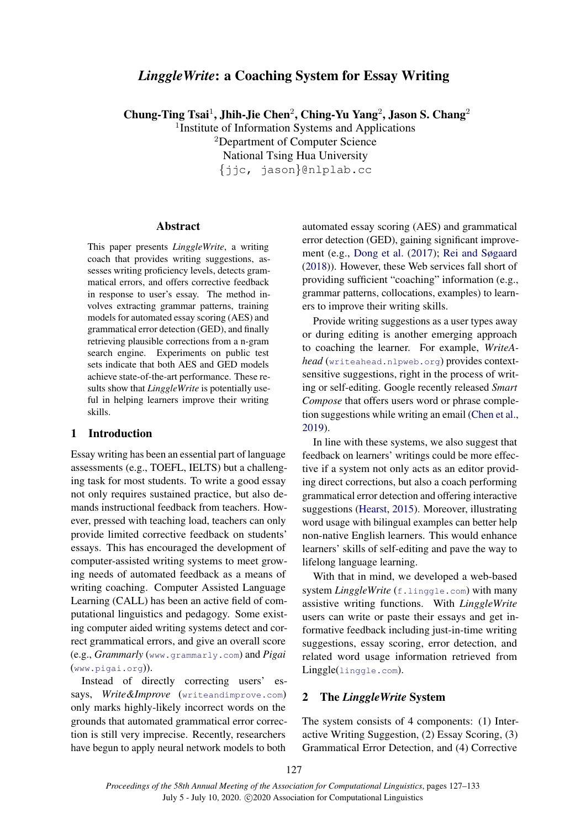# *LinggleWrite*: a Coaching System for Essay Writing

Chung-Ting Tsai<sup>1</sup>, Jhih-Jie Chen<sup>2</sup>, Ching-Yu Yang<sup>2</sup>, Jason S. Chang<sup>2</sup>

<sup>1</sup>Institute of Information Systems and Applications <sup>2</sup>Department of Computer Science National Tsing Hua University

{jjc, jason}@nlplab.cc

#### Abstract

This paper presents *LinggleWrite*, a writing coach that provides writing suggestions, assesses writing proficiency levels, detects grammatical errors, and offers corrective feedback in response to user's essay. The method involves extracting grammar patterns, training models for automated essay scoring (AES) and grammatical error detection (GED), and finally retrieving plausible corrections from a n-gram search engine. Experiments on public test sets indicate that both AES and GED models achieve state-of-the-art performance. These results show that *LinggleWrite* is potentially useful in helping learners improve their writing skills.

### 1 Introduction

Essay writing has been an essential part of language assessments (e.g., TOEFL, IELTS) but a challenging task for most students. To write a good essay not only requires sustained practice, but also demands instructional feedback from teachers. However, pressed with teaching load, teachers can only provide limited corrective feedback on students' essays. This has encouraged the development of computer-assisted writing systems to meet growing needs of automated feedback as a means of writing coaching. Computer Assisted Language Learning (CALL) has been an active field of computational linguistics and pedagogy. Some existing computer aided writing systems detect and correct grammatical errors, and give an overall score (e.g., *Grammarly* (<www.grammarly.com>) and *Pigai* (<www.pigai.org>)).

Instead of directly correcting users' essays, *Write&Improve* (<writeandimprove.com>) only marks highly-likely incorrect words on the grounds that automated grammatical error correction is still very imprecise. Recently, researchers have begun to apply neural network models to both

automated essay scoring (AES) and grammatical error detection (GED), gaining significant improvement (e.g., [Dong et al.](#page-5-0) [\(2017\)](#page-5-0); [Rei and Søgaard](#page-6-0) [\(2018\)](#page-6-0)). However, these Web services fall short of providing sufficient "coaching" information (e.g., grammar patterns, collocations, examples) to learners to improve their writing skills.

Provide writing suggestions as a user types away or during editing is another emerging approach to coaching the learner. For example, *WriteAhead* (<writeahead.nlpweb.org>) provides contextsensitive suggestions, right in the process of writing or self-editing. Google recently released *Smart Compose* that offers users word or phrase completion suggestions while writing an email [\(Chen et al.,](#page-5-1) [2019\)](#page-5-1).

In line with these systems, we also suggest that feedback on learners' writings could be more effective if a system not only acts as an editor providing direct corrections, but also a coach performing grammatical error detection and offering interactive suggestions [\(Hearst,](#page-6-1) [2015\)](#page-6-1). Moreover, illustrating word usage with bilingual examples can better help non-native English learners. This would enhance learners' skills of self-editing and pave the way to lifelong language learning.

With that in mind, we developed a web-based system *LinggleWrite* (<f.linggle.com>) with many assistive writing functions. With *LinggleWrite* users can write or paste their essays and get informative feedback including just-in-time writing suggestions, essay scoring, error detection, and related word usage information retrieved from Linggle(<linggle.com>).

# 2 The *LinggleWrite* System

The system consists of 4 components: (1) Interactive Writing Suggestion, (2) Essay Scoring, (3) Grammatical Error Detection, and (4) Corrective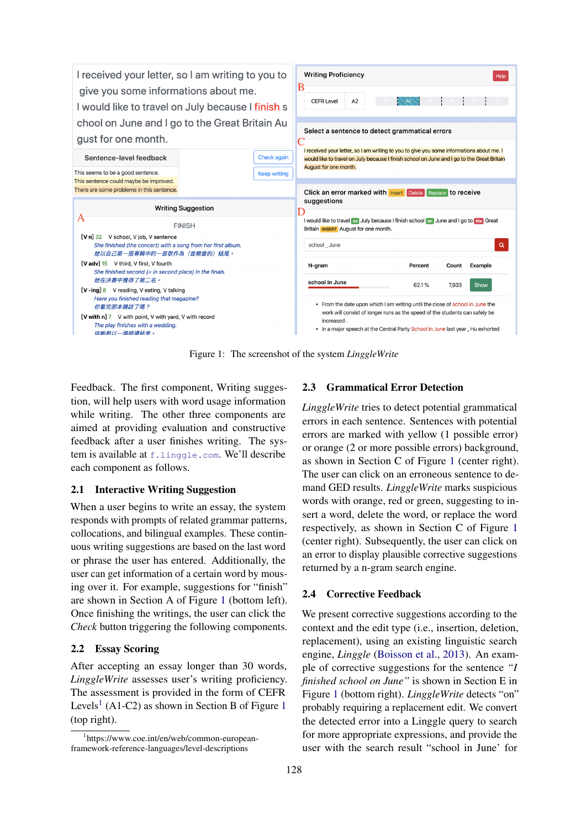<span id="page-1-0"></span>

Figure 1: The screenshot of the system *LinggleWrite*

Feedback. The first component, Writing suggestion, will help users with word usage information while writing. The other three components are aimed at providing evaluation and constructive feedback after a user finishes writing. The system is available at <f.linggle.com>. We'll describe each component as follows.

# 2.1 Interactive Writing Suggestion

When a user begins to write an essay, the system responds with prompts of related grammar patterns, collocations, and bilingual examples. These continuous writing suggestions are based on the last word or phrase the user has entered. Additionally, the user can get information of a certain word by mousing over it. For example, suggestions for "finish" are shown in Section A of Figure [1](#page-1-0) (bottom left). Once finishing the writings, the user can click the *Check* button triggering the following components.

# 2.2 Essay Scoring

After accepting an essay longer than 30 words, *LinggleWrite* assesses user's writing proficiency. The assessment is provided in the form of CEFR Levels<sup>[1](#page-1-0)</sup> (A1-C2) as shown in Section B of Figure 1 (top right).

# 2.3 Grammatical Error Detection

*LinggleWrite* tries to detect potential grammatical errors in each sentence. Sentences with potential errors are marked with yellow (1 possible error) or orange (2 or more possible errors) background, as shown in Section C of Figure [1](#page-1-0) (center right). The user can click on an erroneous sentence to demand GED results. *LinggleWrite* marks suspicious words with orange, red or green, suggesting to insert a word, delete the word, or replace the word respectively, as shown in Section C of Figure [1](#page-1-0) (center right). Subsequently, the user can click on an error to display plausible corrective suggestions returned by a n-gram search engine.

# 2.4 Corrective Feedback

We present corrective suggestions according to the context and the edit type (i.e., insertion, deletion, replacement), using an existing linguistic search engine, *Linggle* [\(Boisson et al.,](#page-5-2) [2013\)](#page-5-2). An example of corrective suggestions for the sentence *"I finished school on June"* is shown in Section E in Figure [1](#page-1-0) (bottom right). *LinggleWrite* detects "on" probably requiring a replacement edit. We convert the detected error into a Linggle query to search for more appropriate expressions, and provide the user with the search result "school in June' for

<span id="page-1-1"></span><sup>1</sup> https://www.coe.int/en/web/common-europeanframework-reference-languages/level-descriptions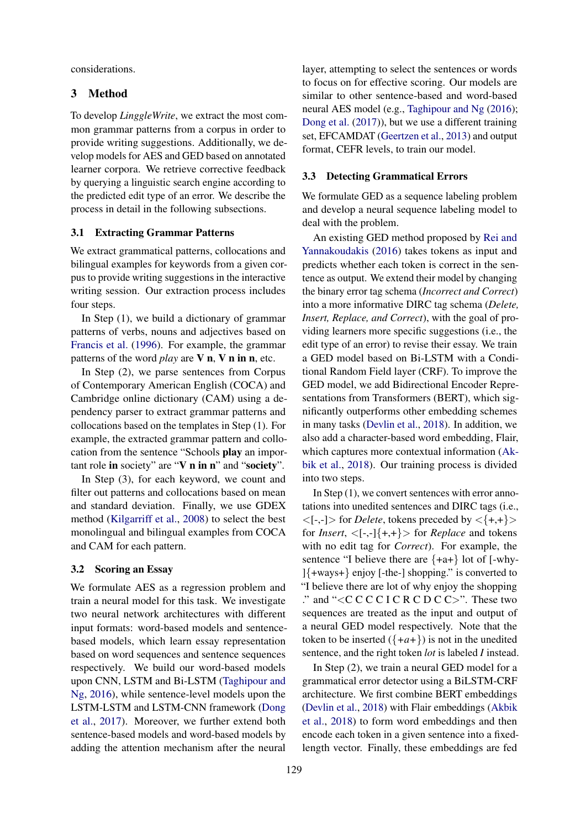considerations.

# 3 Method

To develop *LinggleWrite*, we extract the most common grammar patterns from a corpus in order to provide writing suggestions. Additionally, we develop models for AES and GED based on annotated learner corpora. We retrieve corrective feedback by querying a linguistic search engine according to the predicted edit type of an error. We describe the process in detail in the following subsections.

# 3.1 Extracting Grammar Patterns

We extract grammatical patterns, collocations and bilingual examples for keywords from a given corpus to provide writing suggestions in the interactive writing session. Our extraction process includes four steps.

In Step (1), we build a dictionary of grammar patterns of verbs, nouns and adjectives based on [Francis et al.](#page-6-2) [\(1996\)](#page-6-2). For example, the grammar patterns of the word *play* are V n, V n in n, etc.

In Step (2), we parse sentences from Corpus of Contemporary American English (COCA) and Cambridge online dictionary (CAM) using a dependency parser to extract grammar patterns and collocations based on the templates in Step (1). For example, the extracted grammar pattern and collocation from the sentence "Schools play an important role in society" are "V n in n" and "society".

In Step (3), for each keyword, we count and filter out patterns and collocations based on mean and standard deviation. Finally, we use GDEX method [\(Kilgarriff et al.,](#page-6-3) [2008\)](#page-6-3) to select the best monolingual and bilingual examples from COCA and CAM for each pattern.

## 3.2 Scoring an Essay

We formulate AES as a regression problem and train a neural model for this task. We investigate two neural network architectures with different input formats: word-based models and sentencebased models, which learn essay representation based on word sequences and sentence sequences respectively. We build our word-based models upon CNN, LSTM and Bi-LSTM [\(Taghipour and](#page-6-4) [Ng,](#page-6-4) [2016\)](#page-6-4), while sentence-level models upon the LSTM-LSTM and LSTM-CNN framework [\(Dong](#page-5-0) [et al.,](#page-5-0) [2017\)](#page-5-0). Moreover, we further extend both sentence-based models and word-based models by adding the attention mechanism after the neural

layer, attempting to select the sentences or words to focus on for effective scoring. Our models are similar to other sentence-based and word-based neural AES model (e.g., [Taghipour and Ng](#page-6-4) [\(2016\)](#page-6-4); [Dong et al.](#page-5-0) [\(2017\)](#page-5-0)), but we use a different training set, EFCAMDAT [\(Geertzen et al.,](#page-6-5) [2013\)](#page-6-5) and output format, CEFR levels, to train our model.

# <span id="page-2-0"></span>3.3 Detecting Grammatical Errors

We formulate GED as a sequence labeling problem and develop a neural sequence labeling model to deal with the problem.

An existing GED method proposed by [Rei and](#page-6-6) [Yannakoudakis](#page-6-6) [\(2016\)](#page-6-6) takes tokens as input and predicts whether each token is correct in the sentence as output. We extend their model by changing the binary error tag schema (*Incorrect and Correct*) into a more informative DIRC tag schema (*Delete, Insert, Replace, and Correct*), with the goal of providing learners more specific suggestions (i.e., the edit type of an error) to revise their essay. We train a GED model based on Bi-LSTM with a Conditional Random Field layer (CRF). To improve the GED model, we add Bidirectional Encoder Representations from Transformers (BERT), which significantly outperforms other embedding schemes in many tasks [\(Devlin et al.,](#page-5-3) [2018\)](#page-5-3). In addition, we also add a character-based word embedding, Flair, which captures more contextual information [\(Ak](#page-5-4)[bik et al.,](#page-5-4) [2018\)](#page-5-4). Our training process is divided into two steps.

In Step  $(1)$ , we convert sentences with error annotations into unedited sentences and DIRC tags (i.e.,  $\langle -,-|>$  for *Delete*, tokens preceded by  $\langle +,+\rangle>$ for *Insert*,  $\langle [-,-] \{+,+\} \rangle$  for *Replace* and tokens with no edit tag for *Correct*). For example, the sentence "I believe there are  $\{+a+\}$  lot of [-why-]{+ways+} enjoy [-the-] shopping." is converted to "I believe there are lot of why enjoy the shopping ." and "<C C C C I C R C D C C>". These two sequences are treated as the input and output of a neural GED model respectively. Note that the token to be inserted  $({+a+})$  is not in the unedited sentence, and the right token *lot* is labeled *I* instead.

In Step (2), we train a neural GED model for a grammatical error detector using a BiLSTM-CRF architecture. We first combine BERT embeddings [\(Devlin et al.,](#page-5-3) [2018\)](#page-5-3) with Flair embeddings [\(Akbik](#page-5-4) [et al.,](#page-5-4) [2018\)](#page-5-4) to form word embeddings and then encode each token in a given sentence into a fixedlength vector. Finally, these embeddings are fed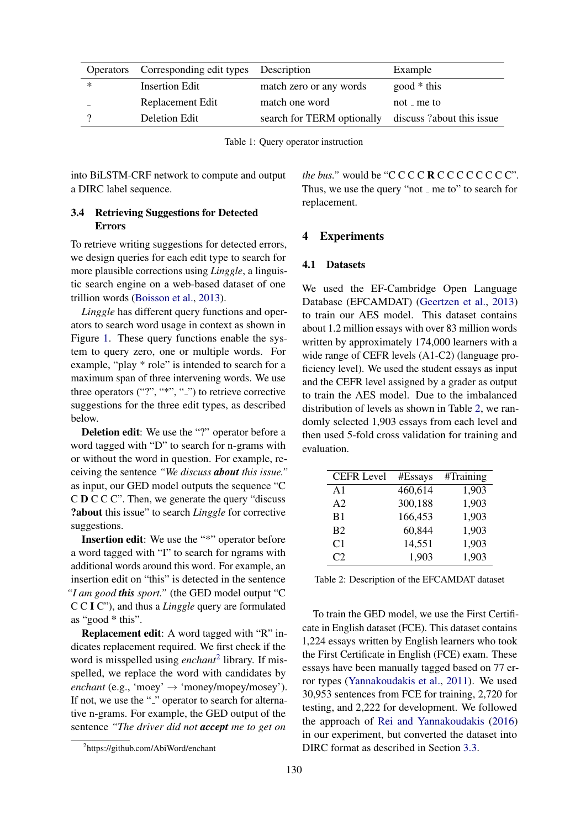<span id="page-3-0"></span>

| Operators | Corresponding edit types Description |                                                     | Example       |
|-----------|--------------------------------------|-----------------------------------------------------|---------------|
| $\ast$    | <b>Insertion Edit</b>                | match zero or any words                             | $good * this$ |
|           | Replacement Edit                     | match one word                                      | $not$ – me to |
|           | Deletion Edit                        | search for TERM optionally discuss?about this issue |               |

Table 1: Query operator instruction

into BiLSTM-CRF network to compute and output a DIRC label sequence.

# 3.4 Retrieving Suggestions for Detected Errors

To retrieve writing suggestions for detected errors, we design queries for each edit type to search for more plausible corrections using *Linggle*, a linguistic search engine on a web-based dataset of one trillion words [\(Boisson et al.,](#page-5-2) [2013\)](#page-5-2).

*Linggle* has different query functions and operators to search word usage in context as shown in Figure [1.](#page-3-0) These query functions enable the system to query zero, one or multiple words. For example, "play \* role" is intended to search for a maximum span of three intervening words. We use three operators  $("?", "*", "_")$  to retrieve corrective suggestions for the three edit types, as described below.

Deletion edit: We use the "?" operator before a word tagged with "D" to search for n-grams with or without the word in question. For example, receiving the sentence *"We discuss about this issue."* as input, our GED model outputs the sequence "C C D C C C". Then, we generate the query "discuss ?about this issue" to search *Linggle* for corrective suggestions.

Insertion edit: We use the "\*" operator before a word tagged with "I" to search for ngrams with additional words around this word. For example, an insertion edit on "this" is detected in the sentence *"I am good this sport."* (the GED model output "C C C I C"), and thus a *Linggle* query are formulated as "good \* this".

Replacement edit: A word tagged with "R" indicates replacement required. We first check if the word is misspelled using *enchant*[2](#page-3-1) library. If misspelled, we replace the word with candidates by *enchant* (e.g., 'moey'  $\rightarrow$  'money/mopey/mosey'). If not, we use the "-" operator to search for alternative n-grams. For example, the GED output of the sentence *"The driver did not accept me to get on*

*the bus.*" would be " $C$   $C$   $C$   $C$   $R$   $C$   $C$   $C$   $C$   $C$   $C$   $C$ ". Thus, we use the query "not  $\overline{\ }$  me to" to search for replacement.

# 4 Experiments

# 4.1 Datasets

We used the EF-Cambridge Open Language Database (EFCAMDAT) [\(Geertzen et al.,](#page-6-5) [2013\)](#page-6-5) to train our AES model. This dataset contains about 1.2 million essays with over 83 million words written by approximately 174,000 learners with a wide range of CEFR levels (A1-C2) (language proficiency level). We used the student essays as input and the CEFR level assigned by a grader as output to train the AES model. Due to the imbalanced distribution of levels as shown in Table [2,](#page-3-2) we randomly selected 1,903 essays from each level and then used 5-fold cross validation for training and evaluation.

<span id="page-3-2"></span>

| <b>CEFR Level</b> | #Essays | #Training |
|-------------------|---------|-----------|
| $\mathsf{A}1$     | 460,614 | 1,903     |
| A <sub>2</sub>    | 300,188 | 1,903     |
| B <sub>1</sub>    | 166,453 | 1,903     |
| B <sub>2</sub>    | 60,844  | 1,903     |
| C <sub>1</sub>    | 14,551  | 1,903     |
| C2                | 1,903   | 1,903     |

Table 2: Description of the EFCAMDAT dataset

To train the GED model, we use the First Certificate in English dataset (FCE). This dataset contains 1,224 essays written by English learners who took the First Certificate in English (FCE) exam. These essays have been manually tagged based on 77 error types [\(Yannakoudakis et al.,](#page-6-7) [2011\)](#page-6-7). We used 30,953 sentences from FCE for training, 2,720 for testing, and 2,222 for development. We followed the approach of [Rei and Yannakoudakis](#page-6-6) [\(2016\)](#page-6-6) in our experiment, but converted the dataset into DIRC format as described in Section [3.3.](#page-2-0)

<span id="page-3-1"></span><sup>2</sup> https://github.com/AbiWord/enchant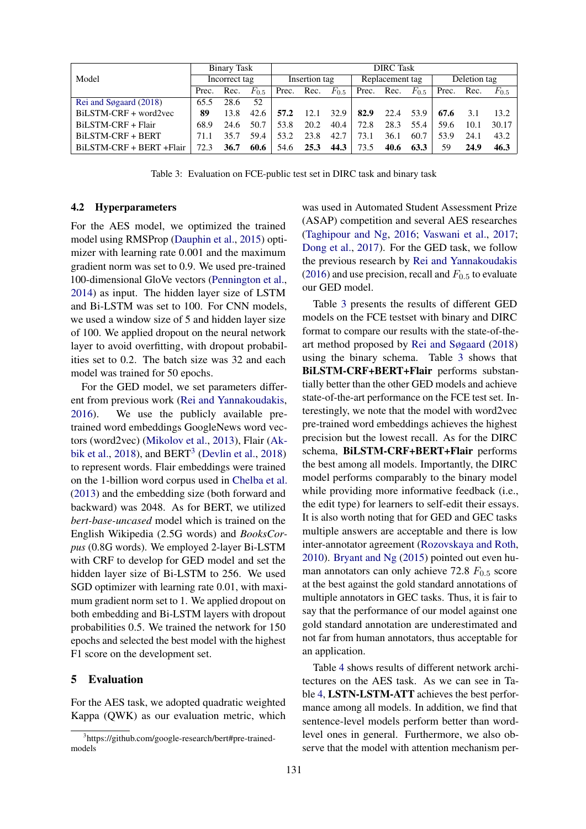<span id="page-4-1"></span>

|                           | Binary Task   |      | <b>DIRC</b> Task |      |                 |           |              |            |           |       |      |           |
|---------------------------|---------------|------|------------------|------|-----------------|-----------|--------------|------------|-----------|-------|------|-----------|
| Model                     | Incorrect tag |      | Insertion tag    |      | Replacement tag |           | Deletion tag |            |           |       |      |           |
|                           | Prec.         | Rec. | $F_{0.5}$        |      | Prec. Rec.      | $F_{0.5}$ |              | Prec. Rec. | $F_{0.5}$ | Prec. | Rec. | $F_{0.5}$ |
| Rei and Søgaard $(2018)$  | 65.5          | 28.6 | 52               |      |                 |           |              |            |           |       |      |           |
| BILSTM-CRF + word2yec     | 89            | 13.8 | 42.6             | 57.2 | 12.1            | 32.9      | 82.9         | 22.4       | 53.9      | 67.6  | 3.1  | 13.2.     |
| BiLSTM-CRF + Flair        | 68.9          | 24.6 | 50.7             | 53.8 | 20.2            | 40.4      | 72.8         | 28.3       | 55.4      | 59.6  | 10.1 | 30.17     |
| BILSTM-CRF + BERT         | 71.1          | 35.7 | 59.4             | 53.2 | 23.8            | 42.7      | 73.1         | 36.1       | 60.7      | 53.9  | 24.1 | 43.2      |
| BiLSTM-CRF + BERT + Flair | 72.3          | 36.7 | 60.6             | 54.6 | 25.3            | 44.3      | 73.5         | 40.6       | 63.3      | 59    | 24.9 | 46.3      |

Table 3: Evaluation on FCE-public test set in DIRC task and binary task

#### 4.2 Hyperparameters

For the AES model, we optimized the trained model using RMSProp [\(Dauphin et al.,](#page-5-5) [2015\)](#page-5-5) optimizer with learning rate 0.001 and the maximum gradient norm was set to 0.9. We used pre-trained 100-dimensional GloVe vectors [\(Pennington et al.,](#page-6-8) [2014\)](#page-6-8) as input. The hidden layer size of LSTM and Bi-LSTM was set to 100. For CNN models, we used a window size of 5 and hidden layer size of 100. We applied dropout on the neural network layer to avoid overfitting, with dropout probabilities set to 0.2. The batch size was 32 and each model was trained for 50 epochs.

For the GED model, we set parameters different from previous work [\(Rei and Yannakoudakis,](#page-6-6) [2016\)](#page-6-6). We use the publicly available pretrained word embeddings GoogleNews word vectors (word2vec) [\(Mikolov et al.,](#page-6-9) [2013\)](#page-6-9), Flair [\(Ak](#page-5-4)[bik et al.,](#page-5-4) [2018\)](#page-5-3), and  $BERT<sup>3</sup>$  $BERT<sup>3</sup>$  $BERT<sup>3</sup>$  [\(Devlin et al.,](#page-5-3) 2018) to represent words. Flair embeddings were trained on the 1-billion word corpus used in [Chelba et al.](#page-5-6) [\(2013\)](#page-5-6) and the embedding size (both forward and backward) was 2048. As for BERT, we utilized *bert-base-uncased* model which is trained on the English Wikipedia (2.5G words) and *BooksCorpus* (0.8G words). We employed 2-layer Bi-LSTM with CRF to develop for GED model and set the hidden layer size of Bi-LSTM to 256. We used SGD optimizer with learning rate 0.01, with maximum gradient norm set to 1. We applied dropout on both embedding and Bi-LSTM layers with dropout probabilities 0.5. We trained the network for 150 epochs and selected the best model with the highest F1 score on the development set.

# 5 Evaluation

For the AES task, we adopted quadratic weighted Kappa (QWK) as our evaluation metric, which was used in Automated Student Assessment Prize (ASAP) competition and several AES researches [\(Taghipour and Ng,](#page-6-4) [2016;](#page-6-4) [Vaswani et al.,](#page-6-10) [2017;](#page-6-10) [Dong et al.,](#page-5-0) [2017\)](#page-5-0). For the GED task, we follow the previous research by [Rei and Yannakoudakis](#page-6-6) [\(2016\)](#page-6-6) and use precision, recall and  $F_{0.5}$  to evaluate our GED model.

Table [3](#page-4-1) presents the results of different GED models on the FCE testset with binary and DIRC format to compare our results with the state-of-theart method proposed by [Rei and Søgaard](#page-6-0) [\(2018\)](#page-6-0) using the binary schema. Table [3](#page-4-1) shows that BiLSTM-CRF+BERT+Flair performs substantially better than the other GED models and achieve state-of-the-art performance on the FCE test set. Interestingly, we note that the model with word2vec pre-trained word embeddings achieves the highest precision but the lowest recall. As for the DIRC schema, BiLSTM-CRF+BERT+Flair performs the best among all models. Importantly, the DIRC model performs comparably to the binary model while providing more informative feedback (i.e., the edit type) for learners to self-edit their essays. It is also worth noting that for GED and GEC tasks multiple answers are acceptable and there is low inter-annotator agreement [\(Rozovskaya and Roth,](#page-6-11) [2010\)](#page-6-11). [Bryant and Ng](#page-5-7) [\(2015\)](#page-5-7) pointed out even human annotators can only achieve 72.8  $F_{0.5}$  score at the best against the gold standard annotations of multiple annotators in GEC tasks. Thus, it is fair to say that the performance of our model against one gold standard annotation are underestimated and not far from human annotators, thus acceptable for an application.

Table [4](#page-5-8) shows results of different network architectures on the AES task. As we can see in Table [4,](#page-5-8) LSTN-LSTM-ATT achieves the best performance among all models. In addition, we find that sentence-level models perform better than wordlevel ones in general. Furthermore, we also observe that the model with attention mechanism per-

<span id="page-4-0"></span><sup>3</sup> https://github.com/google-research/bert#pre-trainedmodels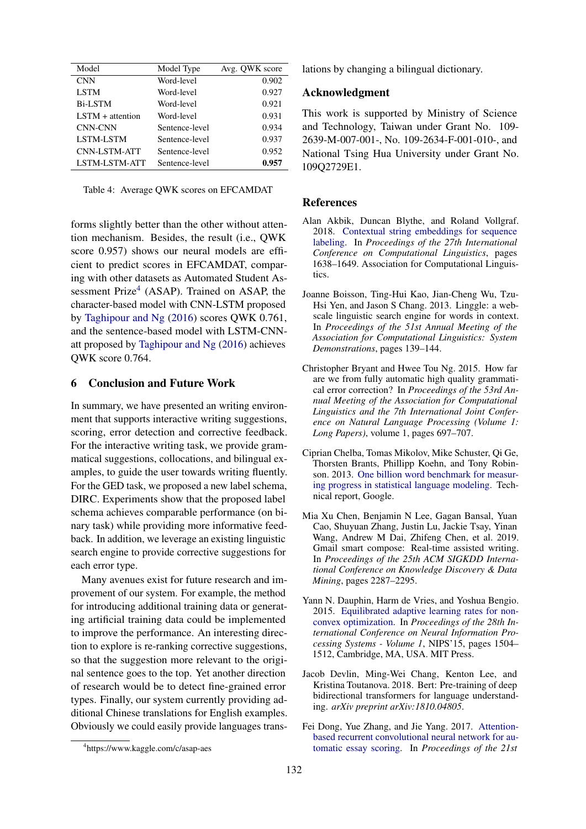<span id="page-5-8"></span>

| Model                | Model Type     | Avg. QWK score |
|----------------------|----------------|----------------|
| <b>CNN</b>           | Word-level     | 0.902          |
| <b>LSTM</b>          | Word-level     | 0.927          |
| <b>Bi-LSTM</b>       | Word-level     | 0.921          |
| $LSTM + attention$   | Word-level     | 0.931          |
| <b>CNN-CNN</b>       | Sentence-level | 0.934          |
| LSTM-LSTM            | Sentence-level | 0.937          |
| CNN-LSTM-ATT         | Sentence-level | 0.952          |
| <b>LSTM-LSTM-ATT</b> | Sentence-level | 0.957          |

Table 4: Average QWK scores on EFCAMDAT

forms slightly better than the other without attention mechanism. Besides, the result (i.e., QWK score 0.957) shows our neural models are efficient to predict scores in EFCAMDAT, comparing with other datasets as Automated Student As-sessment Prize<sup>[4](#page-5-9)</sup> (ASAP). Trained on ASAP, the character-based model with CNN-LSTM proposed by [Taghipour and Ng](#page-6-4) [\(2016\)](#page-6-4) scores QWK 0.761, and the sentence-based model with LSTM-CNNatt proposed by [Taghipour and Ng](#page-6-4) [\(2016\)](#page-6-4) achieves QWK score 0.764.

# 6 Conclusion and Future Work

In summary, we have presented an writing environment that supports interactive writing suggestions. scoring, error detection and corrective feedback. For the interactive writing task, we provide grammatical suggestions, collocations, and bilingual examples, to guide the user towards writing fluently. For the GED task, we proposed a new label schema, DIRC. Experiments show that the proposed label schema achieves comparable performance (on binary task) while providing more informative feedback. In addition, we leverage an existing linguistic search engine to provide corrective suggestions for each error type.

Many avenues exist for future research and improvement of our system. For example, the method for introducing additional training data or generating artificial training data could be implemented to improve the performance. An interesting direction to explore is re-ranking corrective suggestions, so that the suggestion more relevant to the original sentence goes to the top. Yet another direction of research would be to detect fine-grained error types. Finally, our system currently providing additional Chinese translations for English examples. Obviously we could easily provide languages translations by changing a bilingual dictionary.

# Acknowledgment

This work is supported by Ministry of Science and Technology, Taiwan under Grant No. 109- 2639-M-007-001-, No. 109-2634-F-001-010-, and National Tsing Hua University under Grant No. 109Q2729E1.

## References

- <span id="page-5-4"></span>Alan Akbik, Duncan Blythe, and Roland Vollgraf. 2018. [Contextual string embeddings for sequence](http://aclweb.org/anthology/C18-1139) [labeling.](http://aclweb.org/anthology/C18-1139) In *Proceedings of the 27th International Conference on Computational Linguistics*, pages 1638–1649. Association for Computational Linguistics.
- <span id="page-5-2"></span>Joanne Boisson, Ting-Hui Kao, Jian-Cheng Wu, Tzu-Hsi Yen, and Jason S Chang. 2013. Linggle: a webscale linguistic search engine for words in context. In *Proceedings of the 51st Annual Meeting of the Association for Computational Linguistics: System Demonstrations*, pages 139–144.
- <span id="page-5-7"></span>Christopher Bryant and Hwee Tou Ng. 2015. How far are we from fully automatic high quality grammatical error correction? In *Proceedings of the 53rd Annual Meeting of the Association for Computational Linguistics and the 7th International Joint Conference on Natural Language Processing (Volume 1: Long Papers)*, volume 1, pages 697–707.
- <span id="page-5-6"></span>Ciprian Chelba, Tomas Mikolov, Mike Schuster, Qi Ge, Thorsten Brants, Phillipp Koehn, and Tony Robinson. 2013. [One billion word benchmark for measur](http://arxiv.org/abs/1312.3005)[ing progress in statistical language modeling.](http://arxiv.org/abs/1312.3005) Technical report, Google.
- <span id="page-5-1"></span>Mia Xu Chen, Benjamin N Lee, Gagan Bansal, Yuan Cao, Shuyuan Zhang, Justin Lu, Jackie Tsay, Yinan Wang, Andrew M Dai, Zhifeng Chen, et al. 2019. Gmail smart compose: Real-time assisted writing. In *Proceedings of the 25th ACM SIGKDD International Conference on Knowledge Discovery & Data Mining*, pages 2287–2295.
- <span id="page-5-5"></span>Yann N. Dauphin, Harm de Vries, and Yoshua Bengio. 2015. [Equilibrated adaptive learning rates for non](http://dl.acm.org/citation.cfm?id=2969239.2969407)[convex optimization.](http://dl.acm.org/citation.cfm?id=2969239.2969407) In *Proceedings of the 28th International Conference on Neural Information Processing Systems - Volume 1*, NIPS'15, pages 1504– 1512, Cambridge, MA, USA. MIT Press.
- <span id="page-5-3"></span>Jacob Devlin, Ming-Wei Chang, Kenton Lee, and Kristina Toutanova. 2018. Bert: Pre-training of deep bidirectional transformers for language understanding. *arXiv preprint arXiv:1810.04805*.
- <span id="page-5-0"></span>Fei Dong, Yue Zhang, and Jie Yang. 2017. [Attention](https://doi.org/10.18653/v1/K17-1017)[based recurrent convolutional neural network for au](https://doi.org/10.18653/v1/K17-1017)[tomatic essay scoring.](https://doi.org/10.18653/v1/K17-1017) In *Proceedings of the 21st*

<span id="page-5-9"></span><sup>4</sup> https://www.kaggle.com/c/asap-aes